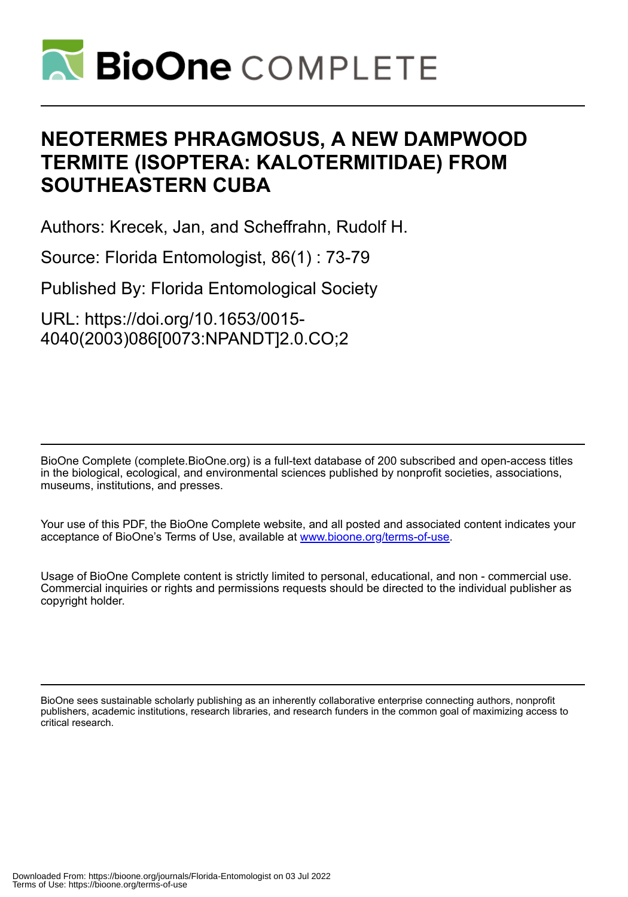

# **NEOTERMES PHRAGMOSUS, A NEW DAMPWOOD TERMITE (ISOPTERA: KALOTERMITIDAE) FROM SOUTHEASTERN CUBA**

Authors: Krecek, Jan, and Scheffrahn, Rudolf H.

Source: Florida Entomologist, 86(1) : 73-79

Published By: Florida Entomological Society

URL: https://doi.org/10.1653/0015- 4040(2003)086[0073:NPANDT]2.0.CO;2

BioOne Complete (complete.BioOne.org) is a full-text database of 200 subscribed and open-access titles in the biological, ecological, and environmental sciences published by nonprofit societies, associations, museums, institutions, and presses.

Your use of this PDF, the BioOne Complete website, and all posted and associated content indicates your acceptance of BioOne's Terms of Use, available at www.bioone.org/terms-of-use.

Usage of BioOne Complete content is strictly limited to personal, educational, and non - commercial use. Commercial inquiries or rights and permissions requests should be directed to the individual publisher as copyright holder.

BioOne sees sustainable scholarly publishing as an inherently collaborative enterprise connecting authors, nonprofit publishers, academic institutions, research libraries, and research funders in the common goal of maximizing access to critical research.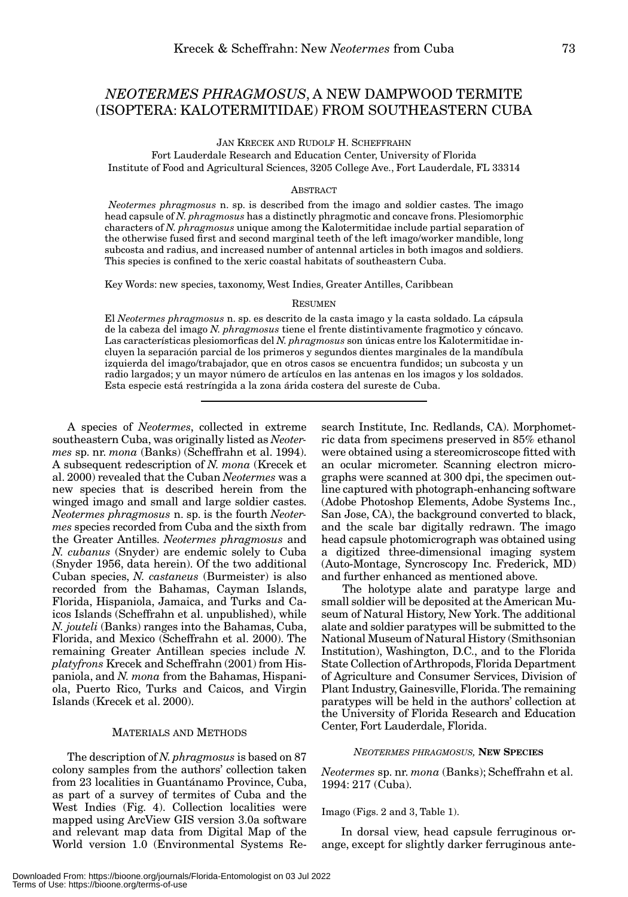# *NEOTERMES PHRAGMOSUS*, A NEW DAMPWOOD TERMITE (ISOPTERA: KALOTERMITIDAE) FROM SOUTHEASTERN CUBA

JAN KRECEK AND RUDOLF H. SCHEFFRAHN

Fort Lauderdale Research and Education Center, University of Florida Institute of Food and Agricultural Sciences, 3205 College Ave., Fort Lauderdale, FL 33314

#### ABSTRACT

*Neotermes phragmosus* n. sp. is described from the imago and soldier castes. The imago head capsule of *N. phragmosus* has a distinctly phragmotic and concave frons. Plesiomorphic characters of *N. phragmosus* unique among the Kalotermitidae include partial separation of the otherwise fused first and second marginal teeth of the left imago/worker mandible, long subcosta and radius, and increased number of antennal articles in both imagos and soldiers. This species is confined to the xeric coastal habitats of southeastern Cuba.

Key Words: new species, taxonomy, West Indies, Greater Antilles, Caribbean

#### **RESUMEN**

El *Neotermes phragmosus* n. sp. es descrito de la casta imago y la casta soldado. La cápsula de la cabeza del imago *N. phragmosus* tiene el frente distintivamente fragmotico y cóncavo. Las características plesiomorficas del *N. phragmosus* son únicas entre los Kalotermitidae incluyen la separación parcial de los primeros y segundos dientes marginales de la mandíbula izquierda del imago/trabajador, que en otros casos se encuentra fundidos; un subcosta y un radio largados; y un mayor número de artículos en las antenas en los imagos y los soldados. Esta especie está restríngida a la zona árida costera del sureste de Cuba.

A species of *Neotermes*, collected in extreme southeastern Cuba, was originally listed as *Neotermes* sp. nr. *mona* (Banks) (Scheffrahn et al. 1994). A subsequent redescription of *N. mona* (Krecek et al. 2000) revealed that the Cuban *Neotermes* was a new species that is described herein from the winged imago and small and large soldier castes. *Neotermes phragmosus* n. sp. is the fourth *Neotermes* species recorded from Cuba and the sixth from the Greater Antilles. *Neotermes phragmosus* and *N. cubanus* (Snyder) are endemic solely to Cuba (Snyder 1956, data herein). Of the two additional Cuban species, *N. castaneus* (Burmeister) is also recorded from the Bahamas, Cayman Islands, Florida, Hispaniola, Jamaica, and Turks and Caicos Islands (Scheffrahn et al. unpublished), while *N. jouteli* (Banks) ranges into the Bahamas, Cuba, Florida, and Mexico (Scheffrahn et al. 2000). The remaining Greater Antillean species include *N. platyfrons* Krecek and Scheffrahn (2001) from Hispaniola, and *N. mona* from the Bahamas, Hispaniola, Puerto Rico, Turks and Caicos, and Virgin Islands (Krecek et al. 2000).

#### MATERIALS AND METHODS

The description of *N. phragmosus* is based on 87 colony samples from the authors' collection taken from 23 localities in Guantánamo Province, Cuba, as part of a survey of termites of Cuba and the West Indies (Fig. 4). Collection localities were mapped using ArcView GIS version 3.0a software and relevant map data from Digital Map of the World version 1.0 (Environmental Systems Research Institute, Inc. Redlands, CA). Morphometric data from specimens preserved in 85% ethanol were obtained using a stereomicroscope fitted with an ocular micrometer. Scanning electron micrographs were scanned at 300 dpi, the specimen outline captured with photograph-enhancing software (Adobe Photoshop Elements, Adobe Systems Inc., San Jose, CA), the background converted to black, and the scale bar digitally redrawn. The imago head capsule photomicrograph was obtained using a digitized three-dimensional imaging system (Auto-Montage, Syncroscopy Inc. Frederick, MD) and further enhanced as mentioned above.

The holotype alate and paratype large and small soldier will be deposited at the American Museum of Natural History, New York. The additional alate and soldier paratypes will be submitted to the National Museum of Natural History (Smithsonian Institution), Washington, D.C., and to the Florida State Collection of Arthropods, Florida Department of Agriculture and Consumer Services, Division of Plant Industry, Gainesville, Florida. The remaining paratypes will be held in the authors' collection at the University of Florida Research and Education Center, Fort Lauderdale, Florida.

### *NEOTERMES PHRAGMOSUS,* **NEW SPECIES**

*Neotermes* sp. nr. *mona* (Banks); Scheffrahn et al. 1994: 217 (Cuba).

## Imago (Figs. 2 and 3, Table 1).

In dorsal view, head capsule ferruginous orange, except for slightly darker ferruginous ante-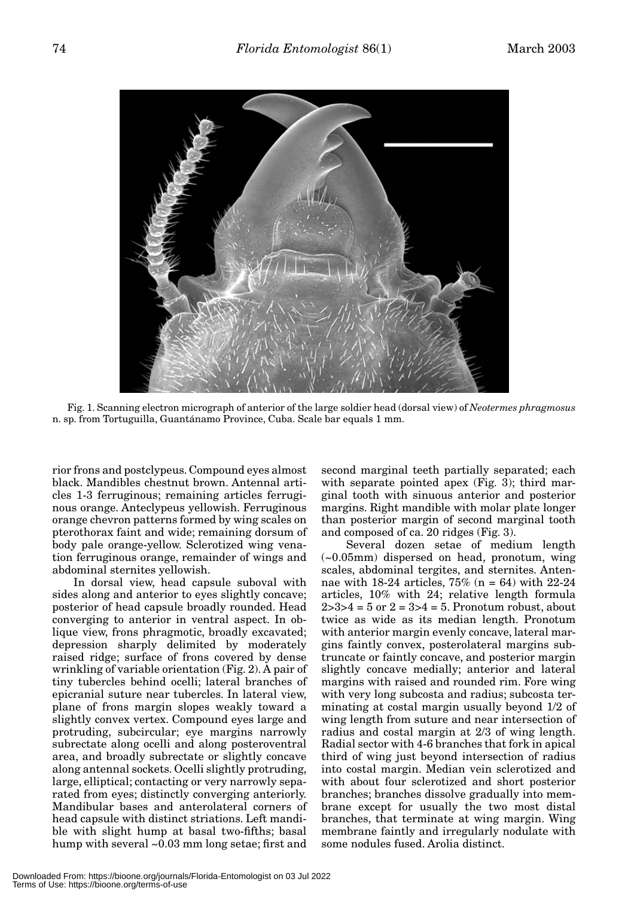

Fig. 1. Scanning electron micrograph of anterior of the large soldier head (dorsal view) of *Neotermes phragmosus* n. sp. from Tortuguilla, Guantánamo Province, Cuba. Scale bar equals 1 mm.

rior frons and postclypeus. Compound eyes almost black. Mandibles chestnut brown. Antennal articles 1-3 ferruginous; remaining articles ferruginous orange. Anteclypeus yellowish. Ferruginous orange chevron patterns formed by wing scales on pterothorax faint and wide; remaining dorsum of body pale orange-yellow. Sclerotized wing venation ferruginous orange, remainder of wings and abdominal sternites yellowish.

In dorsal view, head capsule suboval with sides along and anterior to eyes slightly concave; posterior of head capsule broadly rounded. Head converging to anterior in ventral aspect. In oblique view, frons phragmotic, broadly excavated; depression sharply delimited by moderately raised ridge; surface of frons covered by dense wrinkling of variable orientation (Fig. 2). A pair of tiny tubercles behind ocelli; lateral branches of epicranial suture near tubercles. In lateral view, plane of frons margin slopes weakly toward a slightly convex vertex. Compound eyes large and protruding, subcircular; eye margins narrowly subrectate along ocelli and along posteroventral area, and broadly subrectate or slightly concave along antennal sockets. Ocelli slightly protruding, large, elliptical; contacting or very narrowly separated from eyes; distinctly converging anteriorly. Mandibular bases and anterolateral corners of head capsule with distinct striations. Left mandible with slight hump at basal two-fifths; basal hump with several ~0.03 mm long setae; first and

second marginal teeth partially separated; each with separate pointed apex (Fig. 3); third marginal tooth with sinuous anterior and posterior margins. Right mandible with molar plate longer than posterior margin of second marginal tooth and composed of ca. 20 ridges (Fig. 3).

Several dozen setae of medium length (~0.05mm) dispersed on head, pronotum, wing scales, abdominal tergites, and sternites. Antennae with 18-24 articles,  $75\%$  (n = 64) with 22-24 articles, 10% with 24; relative length formula  $2 > 3 > 4 = 5$  or  $2 = 3 > 4 = 5$ . Pronotum robust, about twice as wide as its median length. Pronotum with anterior margin evenly concave, lateral margins faintly convex, posterolateral margins subtruncate or faintly concave, and posterior margin slightly concave medially; anterior and lateral margins with raised and rounded rim. Fore wing with very long subcosta and radius; subcosta terminating at costal margin usually beyond 1/2 of wing length from suture and near intersection of radius and costal margin at 2/3 of wing length. Radial sector with 4-6 branches that fork in apical third of wing just beyond intersection of radius into costal margin. Median vein sclerotized and with about four sclerotized and short posterior branches; branches dissolve gradually into membrane except for usually the two most distal branches, that terminate at wing margin. Wing membrane faintly and irregularly nodulate with some nodules fused. Arolia distinct.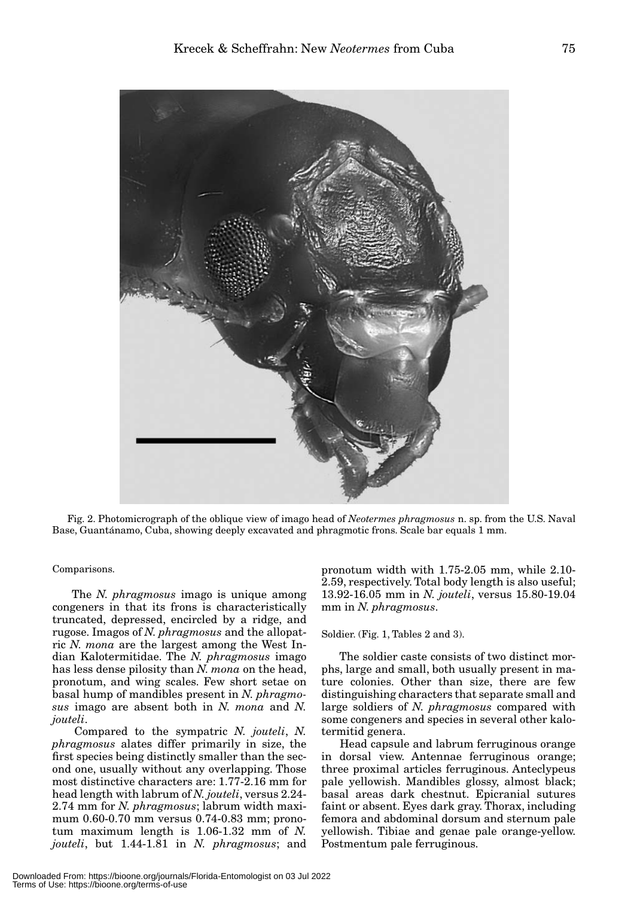

Fig. 2. Photomicrograph of the oblique view of imago head of *Neotermes phragmosus* n. sp. from the U.S. Naval Base, Guantánamo, Cuba, showing deeply excavated and phragmotic frons. Scale bar equals 1 mm.

Comparisons.

The *N. phragmosus* imago is unique among congeners in that its frons is characteristically truncated, depressed, encircled by a ridge, and rugose. Imagos of *N. phragmosus* and the allopatric *N. mona* are the largest among the West Indian Kalotermitidae. The *N. phragmosus* imago has less dense pilosity than *N. mona* on the head, pronotum, and wing scales. Few short setae on basal hump of mandibles present in *N. phragmosus* imago are absent both in *N. mona* and *N. jouteli*.

Compared to the sympatric *N. jouteli*, *N. phragmosus* alates differ primarily in size, the first species being distinctly smaller than the second one, usually without any overlapping. Those most distinctive characters are: 1.77-2.16 mm for head length with labrum of *N. jouteli*, versus 2.24- 2.74 mm for *N. phragmosus*; labrum width maximum 0.60-0.70 mm versus 0.74-0.83 mm; pronotum maximum length is 1.06-1.32 mm of *N. jouteli*, but 1.44-1.81 in *N. phragmosus*; and pronotum width with 1.75-2.05 mm, while 2.10- 2.59, respectively. Total body length is also useful; 13.92-16.05 mm in *N. jouteli*, versus 15.80-19.04 mm in *N. phragmosus*.

Soldier. (Fig. 1, Tables 2 and 3).

The soldier caste consists of two distinct morphs, large and small, both usually present in mature colonies. Other than size, there are few distinguishing characters that separate small and large soldiers of *N. phragmosus* compared with some congeners and species in several other kalotermitid genera.

Head capsule and labrum ferruginous orange in dorsal view. Antennae ferruginous orange; three proximal articles ferruginous. Anteclypeus pale yellowish. Mandibles glossy, almost black; basal areas dark chestnut. Epicranial sutures faint or absent. Eyes dark gray. Thorax, including femora and abdominal dorsum and sternum pale yellowish. Tibiae and genae pale orange-yellow. Postmentum pale ferruginous.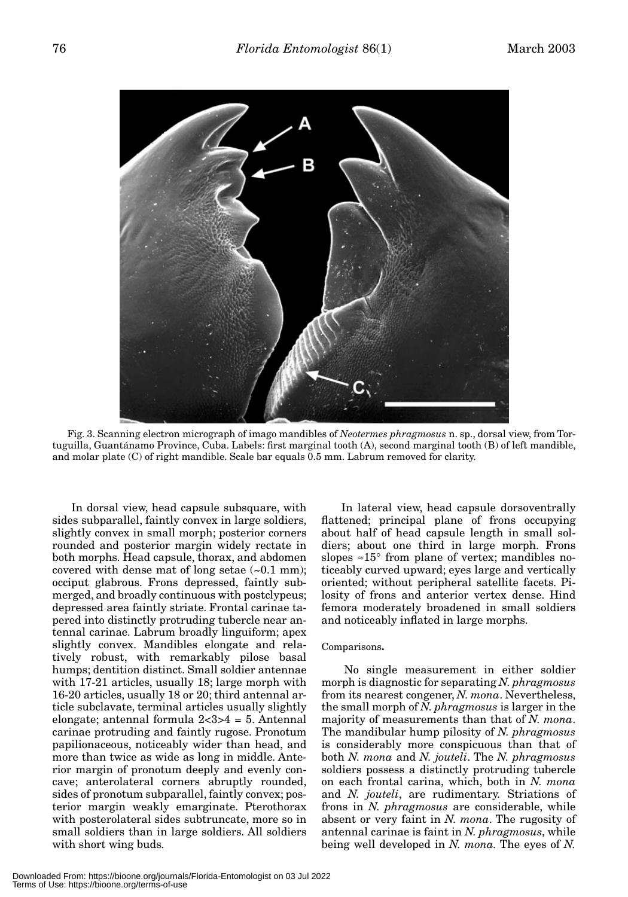

Fig. 3. Scanning electron micrograph of imago mandibles of *Neotermes phragmosus* n. sp., dorsal view, from Tortuguilla, Guantánamo Province, Cuba. Labels: first marginal tooth (A), second marginal tooth (B) of left mandible, and molar plate (C) of right mandible. Scale bar equals 0.5 mm. Labrum removed for clarity.

In dorsal view, head capsule subsquare, with sides subparallel, faintly convex in large soldiers, slightly convex in small morph; posterior corners rounded and posterior margin widely rectate in both morphs. Head capsule, thorax, and abdomen covered with dense mat of long setae  $(-0.1 \text{ mm})$ ; occiput glabrous. Frons depressed, faintly submerged, and broadly continuous with postclypeus; depressed area faintly striate. Frontal carinae tapered into distinctly protruding tubercle near antennal carinae. Labrum broadly linguiform; apex slightly convex. Mandibles elongate and relatively robust, with remarkably pilose basal humps; dentition distinct. Small soldier antennae with 17-21 articles, usually 18; large morph with 16-20 articles, usually 18 or 20; third antennal article subclavate, terminal articles usually slightly elongate; antennal formula 2<3>4 = 5. Antennal carinae protruding and faintly rugose. Pronotum papilionaceous, noticeably wider than head, and more than twice as wide as long in middle. Anterior margin of pronotum deeply and evenly concave; anterolateral corners abruptly rounded, sides of pronotum subparallel, faintly convex; posterior margin weakly emarginate. Pterothorax with posterolateral sides subtruncate, more so in small soldiers than in large soldiers. All soldiers with short wing buds.

In lateral view, head capsule dorsoventrally flattened; principal plane of frons occupying about half of head capsule length in small soldiers; about one third in large morph. Frons slopes  $\approx 15^{\circ}$  from plane of vertex; mandibles noticeably curved upward; eyes large and vertically oriented; without peripheral satellite facets. Pilosity of frons and anterior vertex dense. Hind femora moderately broadened in small soldiers and noticeably inflated in large morphs.

#### Comparisons**.**

No single measurement in either soldier morph is diagnostic for separating *N. phragmosus* from its nearest congener, *N. mona*. Nevertheless, the small morph of *N. phragmosus* is larger in the majority of measurements than that of *N. mona*. The mandibular hump pilosity of *N. phragmosus* is considerably more conspicuous than that of both *N. mona* and *N. jouteli*. The *N. phragmosus* soldiers possess a distinctly protruding tubercle on each frontal carina, which, both in *N. mona* and *N. jouteli*, are rudimentary*.* Striations of frons in *N. phragmosus* are considerable, while absent or very faint in *N. mona*. The rugosity of antennal carinae is faint in *N. phragmosus*, while being well developed in *N. mona.* The eyes of *N.*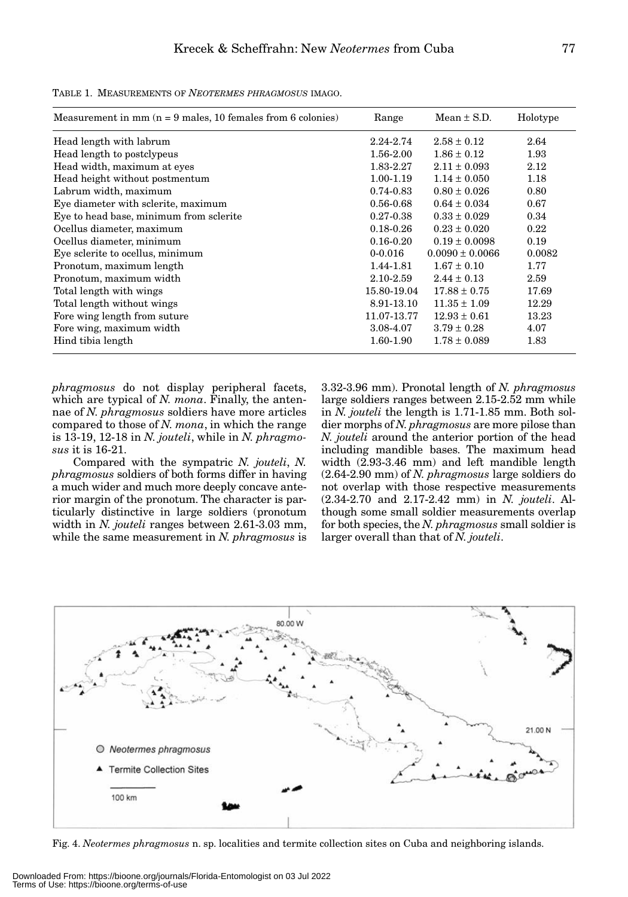| TABLE 1. MEASUREMENTS OF NEOTERMES PHRAGMOSUS IMAGO. |  |
|------------------------------------------------------|--|
|------------------------------------------------------|--|

| Measurement in mm $(n = 9$ males, 10 females from 6 colonies) | Range         | $Mean \pm S.D.$     | Holotype |
|---------------------------------------------------------------|---------------|---------------------|----------|
| Head length with labrum                                       | 2.24-2.74     | $2.58 \pm 0.12$     | 2.64     |
| Head length to postclypeus                                    | 1.56-2.00     | $1.86 \pm 0.12$     | 1.93     |
| Head width, maximum at eyes                                   | 1.83-2.27     | $2.11 \pm 0.093$    | 2.12     |
| Head height without postmentum                                | 1.00-1.19     | $1.14 \pm 0.050$    | 1.18     |
| Labrum width, maximum                                         | $0.74 - 0.83$ | $0.80 \pm 0.026$    | 0.80     |
| Eye diameter with sclerite, maximum                           | $0.56 - 0.68$ | $0.64 \pm 0.034$    | 0.67     |
| Eye to head base, minimum from sclerite                       | $0.27 - 0.38$ | $0.33 \pm 0.029$    | 0.34     |
| Ocellus diameter, maximum                                     | $0.18 - 0.26$ | $0.23 \pm 0.020$    | 0.22     |
| Ocellus diameter, minimum                                     | $0.16 - 0.20$ | $0.19 \pm 0.0098$   | 0.19     |
| Eye sclerite to ocellus, minimum                              | $0 - 0.016$   | $0.0090 \pm 0.0066$ | 0.0082   |
| Pronotum, maximum length                                      | 1.44-1.81     | $1.67 \pm 0.10$     | 1.77     |
| Pronotum, maximum width                                       | 2.10-2.59     | $2.44 \pm 0.13$     | 2.59     |
| Total length with wings                                       | 15.80-19.04   | $17.88 \pm 0.75$    | 17.69    |
| Total length without wings                                    | 8.91-13.10    | $11.35 \pm 1.09$    | 12.29    |
| Fore wing length from suture                                  | 11.07-13.77   | $12.93 \pm 0.61$    | 13.23    |
| Fore wing, maximum width                                      | 3.08-4.07     | $3.79 \pm 0.28$     | 4.07     |
| Hind tibia length                                             | $1.60 - 1.90$ | $1.78 \pm 0.089$    | 1.83     |

*phragmosus* do not display peripheral facets, which are typical of *N. mona*. Finally, the antennae of *N. phragmosus* soldiers have more articles compared to those of *N. mona*, in which the range is 13-19, 12-18 in *N. jouteli*, while in *N. phragmosus* it is 16-21.

Compared with the sympatric *N. jouteli*, *N. phragmosus* soldiers of both forms differ in having a much wider and much more deeply concave anterior margin of the pronotum. The character is particularly distinctive in large soldiers (pronotum width in *N. jouteli* ranges between 2.61-3.03 mm, while the same measurement in *N. phragmosus* is 3.32-3.96 mm). Pronotal length of *N. phragmosus* large soldiers ranges between 2.15-2.52 mm while in *N. jouteli* the length is 1.71-1.85 mm. Both soldier morphs of *N. phragmosus* are more pilose than *N. jouteli* around the anterior portion of the head including mandible bases. The maximum head width (2.93-3.46 mm) and left mandible length (2.64-2.90 mm) of *N. phragmosus* large soldiers do not overlap with those respective measurements (2.34-2.70 and 2.17-2.42 mm) in *N. jouteli*. Although some small soldier measurements overlap for both species, the *N. phragmosus* small soldier is larger overall than that of *N. jouteli*.



Fig. 4. *Neotermes phragmosus* n. sp. localities and termite collection sites on Cuba and neighboring islands.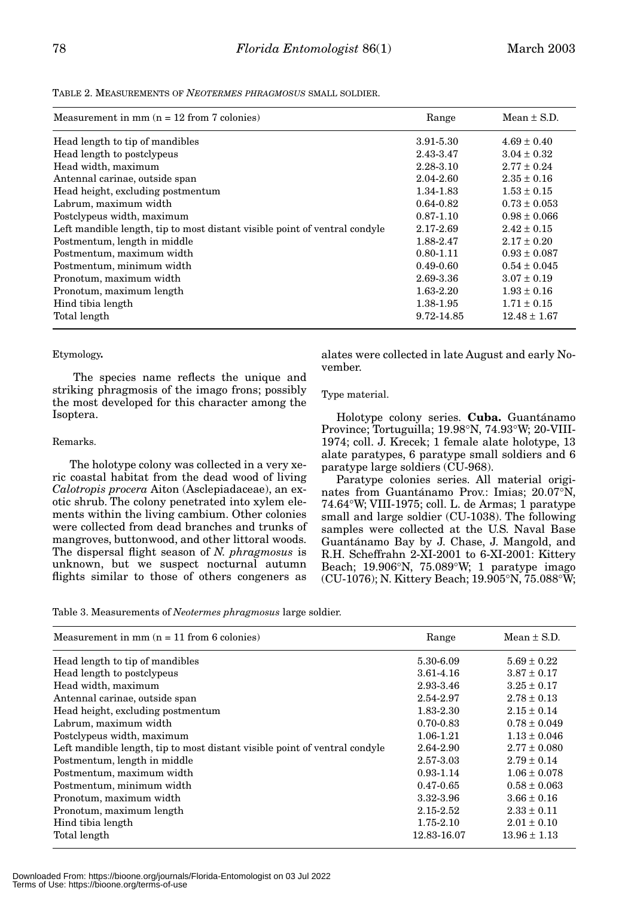TABLE 2. MEASUREMENTS OF *NEOTERMES PHRAGMOSUS* SMALL SOLDIER.

| Measurement in mm $(n = 12$ from 7 colonies)                               | Range         | Mean $\pm$ S.D.  |
|----------------------------------------------------------------------------|---------------|------------------|
| Head length to tip of mandibles                                            | 3.91-5.30     | $4.69 \pm 0.40$  |
| Head length to postclypeus                                                 | 2.43-3.47     | $3.04 \pm 0.32$  |
| Head width, maximum                                                        | 2.28-3.10     | $2.77 \pm 0.24$  |
| Antennal carinae, outside span                                             | 2.04-2.60     | $2.35 \pm 0.16$  |
| Head height, excluding postmentum                                          | 1.34-1.83     | $1.53 \pm 0.15$  |
| Labrum, maximum width                                                      | $0.64 - 0.82$ | $0.73 \pm 0.053$ |
| Postclypeus width, maximum                                                 | $0.87 - 1.10$ | $0.98 \pm 0.066$ |
| Left mandible length, tip to most distant visible point of ventral condyle | 2.17-2.69     | $2.42 \pm 0.15$  |
| Postmentum, length in middle                                               | 1.88-2.47     | $2.17 \pm 0.20$  |
| Postmentum, maximum width                                                  | $0.80 - 1.11$ | $0.93 \pm 0.087$ |
| Postmentum, minimum width                                                  | $0.49 - 0.60$ | $0.54 \pm 0.045$ |
| Pronotum, maximum width                                                    | 2.69-3.36     | $3.07 \pm 0.19$  |
| Pronotum, maximum length                                                   | 1.63-2.20     | $1.93 \pm 0.16$  |
| Hind tibia length                                                          | 1.38-1.95     | $1.71 \pm 0.15$  |
| Total length                                                               | 9.72-14.85    | $12.48 \pm 1.67$ |

# Etymology**.**

The species name reflects the unique and striking phragmosis of the imago frons; possibly the most developed for this character among the Isoptera.

# Remarks.

The holotype colony was collected in a very xeric coastal habitat from the dead wood of living *Calotropis procera* Aiton (Asclepiadaceae), an exotic shrub. The colony penetrated into xylem elements within the living cambium. Other colonies were collected from dead branches and trunks of mangroves, buttonwood, and other littoral woods. The dispersal flight season of *N. phragmosus* is unknown, but we suspect nocturnal autumn flights similar to those of others congeners as

alates were collected in late August and early November.

# Type material.

Holotype colony series. **Cuba.** Guantánamo Province; Tortuguilla; 19.98°N, 74.93°W; 20-VIII-1974; coll. J. Krecek; 1 female alate holotype, 13 alate paratypes, 6 paratype small soldiers and 6 paratype large soldiers (CU-968).

Paratype colonies series. All material originates from Guantánamo Prov.: Imias; 20.07°N, 74.64°W; VIII-1975; coll. L. de Armas; 1 paratype small and large soldier (CU-1038). The following samples were collected at the U.S. Naval Base Guantánamo Bay by J. Chase, J. Mangold, and R.H. Scheffrahn 2-XI-2001 to 6-XI-2001: Kittery Beach; 19.906°N, 75.089°W; 1 paratype imago (CU-1076); N. Kittery Beach; 19.905°N, 75.088°W;

Table 3. Measurements of *Neotermes phragmosus* large soldier.

| Measurement in mm $(n = 11$ from 6 colonies)                               | Range         | $Mean \pm S.D.$  |
|----------------------------------------------------------------------------|---------------|------------------|
| Head length to tip of mandibles                                            | 5.30-6.09     | $5.69 \pm 0.22$  |
| Head length to postcive us                                                 | 3.61-4.16     | $3.87 \pm 0.17$  |
| Head width, maximum                                                        | 2.93-3.46     | $3.25 \pm 0.17$  |
| Antennal carinae, outside span                                             | 2.54-2.97     | $2.78 \pm 0.13$  |
| Head height, excluding postmentum                                          | 1.83-2.30     | $2.15 \pm 0.14$  |
| Labrum, maximum width                                                      | $0.70 - 0.83$ | $0.78 \pm 0.049$ |
| Postclypeus width, maximum                                                 | 1.06-1.21     | $1.13 \pm 0.046$ |
| Left mandible length, tip to most distant visible point of ventral condyle | 2.64-2.90     | $2.77 \pm 0.080$ |
| Postmentum, length in middle                                               | 2.57-3.03     | $2.79 \pm 0.14$  |
| Postmentum, maximum width                                                  | 0.93-1.14     | $1.06 \pm 0.078$ |
| Postmentum, minimum width                                                  | $0.47 - 0.65$ | $0.58 \pm 0.063$ |
| Pronotum, maximum width                                                    | 3.32-3.96     | $3.66 \pm 0.16$  |
| Pronotum, maximum length                                                   | 2.15-2.52     | $2.33 \pm 0.11$  |
| Hind tibia length                                                          | 1.75-2.10     | $2.01 \pm 0.10$  |
| Total length                                                               | 12.83-16.07   | $13.96 \pm 1.13$ |